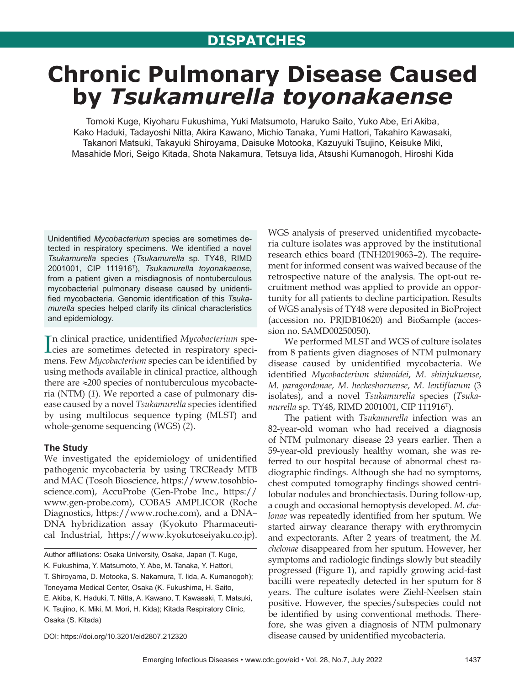# **DISPATCHES**

# **Chronic Pulmonary Disease Caused by** *Tsukamurella toyonakaense*

Tomoki Kuge, Kiyoharu Fukushima, Yuki Matsumoto, Haruko Saito, Yuko Abe, Eri Akiba, Kako Haduki, Tadayoshi Nitta, Akira Kawano, Michio Tanaka, Yumi Hattori, Takahiro Kawasaki, Takanori Matsuki, Takayuki Shiroyama, Daisuke Motooka, Kazuyuki Tsujino, Keisuke Miki, Masahide Mori, Seigo Kitada, Shota Nakamura, Tetsuya Iida, Atsushi Kumanogoh, Hiroshi Kida

Unidentified *Mycobacterium* species are sometimes detected in respiratory specimens. We identified a novel *Tsukamurella* species (*Tsukamurella* sp. TY48, RIMD 2001001, CIP 111916T), *Tsukamurella toyonakaense*, from a patient given a misdiagnosis of nontuberculous mycobacterial pulmonary disease caused by unidentified mycobacteria. Genomic identification of this *Tsukamurella* species helped clarify its clinical characteristics and epidemiology.

In clinical practice, unidentified *Mycobacterium* specicies are sometimes detected in respiratory specicies are sometimes detected in respiratory specimens. Few *Mycobacterium* species can be identified by using methods available in clinical practice, although there are ≈200 species of nontuberculous mycobacteria (NTM) (*1*). We reported a case of pulmonary disease caused by a novel *Tsukamurella* species identified by using multilocus sequence typing (MLST) and whole-genome sequencing (WGS) (*2*).

## **The Study**

We investigated the epidemiology of unidentified pathogenic mycobacteria by using TRCReady MTB and MAC (Tosoh Bioscience, https://www.tosohbioscience.com), AccuProbe (Gen-Probe Inc., https:// www.gen-probe.com), COBAS AMPLICOR (Roche Diagnostics, https://www.roche.com), and a DNA– DNA hybridization assay (Kyokuto Pharmaceutical Industrial, https://www.kyokutoseiyaku.co.jp).

Author affiliations: Osaka University, Osaka, Japan (T. Kuge, K. Fukushima, Y. Matsumoto, Y. Abe, M. Tanaka, Y. Hattori, T. Shiroyama, D. Motooka, S. Nakamura, T. Iida, A. Kumanogoh); Toneyama Medical Center, Osaka (K. Fukushima, H. Saito, E. Akiba, K. Haduki, T. Nitta, A. Kawano, T. Kawasaki, T. Matsuki, K. Tsujino, K. Miki, M. Mori, H. Kida); Kitada Respiratory Clinic,

DOI: https://doi.org/10.3201/eid2807.212320

Osaka (S. Kitada)

WGS analysis of preserved unidentified mycobacteria culture isolates was approved by the institutional research ethics board (TNH2019063–2). The requirement for informed consent was waived because of the retrospective nature of the analysis. The opt-out recruitment method was applied to provide an opportunity for all patients to decline participation. Results of WGS analysis of TY48 were deposited in BioProject (accession no. PRJDB10620) and BioSample (accession no. SAMD00250050).

We performed MLST and WGS of culture isolates from 8 patients given diagnoses of NTM pulmonary disease caused by unidentified mycobacteria. We identified *Mycobacterium shimoidei*, *M. shinjukuense*, *M. paragordonae*, *M. heckeshornense*, *M. lentiflavum* (3 isolates), and a novel *Tsukamurella* species (*Tsukamurella* sp. TY48, RIMD 2001001, CIP 111916T).

The patient with *Tsukamurella* infection was an 82-year-old woman who had received a diagnosis of NTM pulmonary disease 23 years earlier. Then a 59-year-old previously healthy woman, she was referred to our hospital because of abnormal chest radiographic findings. Although she had no symptoms, chest computed tomography findings showed centrilobular nodules and bronchiectasis. During follow-up, a cough and occasional hemoptysis developed. *M. chelonae* was repeatedly identified from her sputum. We started airway clearance therapy with erythromycin and expectorants. After 2 years of treatment, the *M. chelonae* disappeared from her sputum. However, her symptoms and radiologic findings slowly but steadily progressed (Figure 1), and rapidly growing acid-fast bacilli were repeatedly detected in her sputum for 8 years. The culture isolates were Ziehl-Neelsen stain positive. However, the species/subspecies could not be identified by using conventional methods. Therefore, she was given a diagnosis of NTM pulmonary disease caused by unidentified mycobacteria.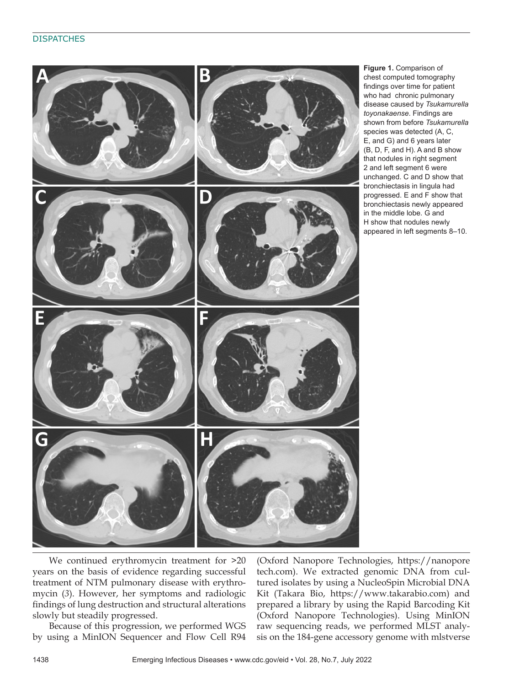

**Figure 1.** Comparison of chest computed tomography findings over time for patient who had chronic pulmonary disease caused by *Tsukamurella toyonakaense*. Findings are shown from before *Tsukamurella* species was detected (A, C, E, and G) and 6 years later (B, D, F, and H). A and B show that nodules in right segment 2 and left segment 6 were unchanged. C and D show that bronchiectasis in lingula had progressed. E and F show that bronchiectasis newly appeared in the middle lobe. G and H show that nodules newly appeared in left segments 8–10.

We continued erythromycin treatment for  $>20$ years on the basis of evidence regarding successful treatment of NTM pulmonary disease with erythromycin (*3*). However, her symptoms and radiologic findings of lung destruction and structural alterations slowly but steadily progressed.

Because of this progression, we performed WGS by using a MinION Sequencer and Flow Cell R94

(Oxford Nanopore Technologies, https://nanopore tech.com). We extracted genomic DNA from cultured isolates by using a NucleoSpin Microbial DNA Kit (Takara Bio, https://www.takarabio.com) and prepared a library by using the Rapid Barcoding Kit (Oxford Nanopore Technologies). Using MinION raw sequencing reads, we performed MLST analysis on the 184-gene accessory genome with mlstverse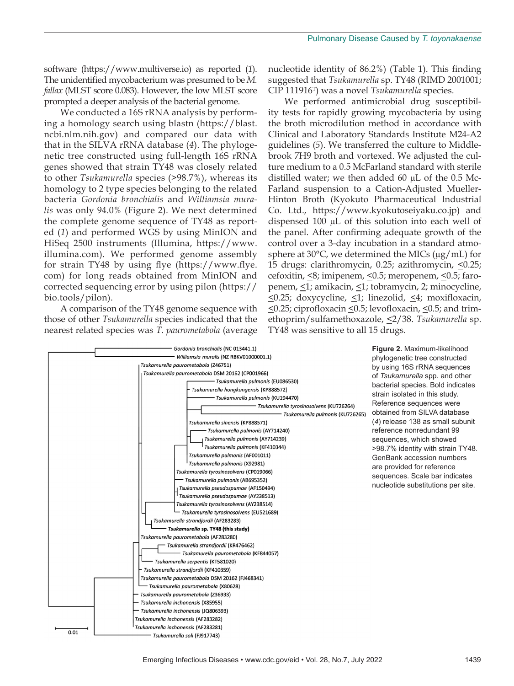software (https://www.multiverse.io) as reported (*1*). The unidentified mycobacterium was presumed to be *M. fallax* (MLST score 0.083). However, the low MLST score prompted a deeper analysis of the bacterial genome.

We conducted a 16S rRNA analysis by performing a homology search using blastn (https://blast. ncbi.nlm.nih.gov) and compared our data with that in the SILVA rRNA database (*4*). The phylogenetic tree constructed using full-length 16S rRNA genes showed that strain TY48 was closely related to other *Tsukamurella* species (>98.7%), whereas its homology to 2 type species belonging to the related bacteria *Gordonia bronchialis* and *Williamsia muralis* was only 94.0% (Figure 2). We next determined the complete genome sequence of TY48 as reported (*1*) and performed WGS by using MinION and HiSeq 2500 instruments (Illumina, https://www. illumina.com). We performed genome assembly for strain TY48 by using flye (https://www.flye. com) for long reads obtained from MinION and corrected sequencing error by using pilon (https:// bio.tools/pilon).

A comparison of the TY48 genome sequence with those of other *Tsukamurella* species indicated that the nearest related species was *T. paurometabola* (average

nucleotide identity of 86.2%) (Table 1). This finding suggested that *Tsukamurella* sp. TY48 (RIMD 2001001; CIP 111916T) was a novel *Tsukamurella* species.

We performed antimicrobial drug susceptibility tests for rapidly growing mycobacteria by using the broth microdilution method in accordance with Clinical and Laboratory Standards Institute M24-A2 guidelines (*5*). We transferred the culture to Middlebrook 7H9 broth and vortexed. We adjusted the culture medium to a 0.5 McFarland standard with sterile distilled water; we then added 60  $\mu$ L of the 0.5 Mc-Farland suspension to a Cation-Adjusted Mueller-Hinton Broth (Kyokuto Pharmaceutical Industrial Co. Ltd., https://www.kyokutoseiyaku.co.jp) and dispensed 100 µL of this solution into each well of the panel. After confirming adequate growth of the control over a 3-day incubation in a standard atmosphere at  $30^{\circ}$ C, we determined the MICs ( $\mu$ g/mL) for 15 drugs: clarithromycin, 0.25; azithromycin, <0.25; cefoxitin, <8; imipenem, <0.5; meropenem, <0.5; faropenem, <1; amikacin, <1; tobramycin, 2; minocycline,  $\leq$ 0.25; doxycycline,  $\leq$ 1; linezolid,  $\leq$ 4; moxifloxacin,  $\leq$ 0.25; ciprofloxacin  $\leq$ 0.5; levofloxacin,  $\leq$ 0.5; and trimethoprim/sulfamethoxazole, <2/38. *Tsukamurella* sp. TY48 was sensitive to all 15 drugs.



phylogenetic tree constructed by using 16S rRNA sequences of *Tsukamurella* spp. and other bacterial species. Bold indicates strain isolated in this study. Reference sequences were obtained from SILVA database (*4*) release 138 as small subunit reference nonredundant 99 sequences, which showed >98.7% identity with strain TY48. GenBank accession numbers are provided for reference sequences. Scale bar indicates nucleotide substitutions per site.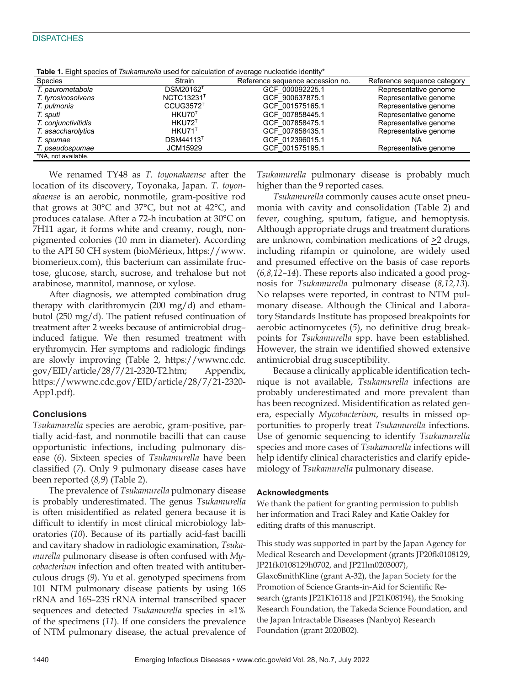#### **DISPATCHES**

| Species             | Strain                       | Reference sequence accession no. | Reference sequence category |
|---------------------|------------------------------|----------------------------------|-----------------------------|
| T. paurometabola    | <b>DSM20162<sup>T</sup></b>  | GCF 000092225.1                  | Representative genome       |
| T. tyrosinosolvens  | NCTC13231 <sup>T</sup>       | GCF 900637875.1                  | Representative genome       |
| T. pulmonis         | CCUG3572 <sup>T</sup>        | GCF 001575165.1                  | Representative genome       |
| T. sputi            | HKU70 <sup>T</sup>           | GCF 007858445.1                  | Representative genome       |
| T. conjunctivitidis | $HKU72$ <sup>T</sup>         | GCF 007858475.1                  | Representative genome       |
| T. asaccharolytica  | HKU71 <sup>T</sup>           | GCF 007858435.1                  | Representative genome       |
| T. spumae           | <b>DSM44113</b> <sup>T</sup> | GCF 012396015.1                  | ΝA                          |
| T. pseudospumae     | JCM15929                     | GCF 001575195.1                  | Representative genome       |
| *NA, not available. |                              |                                  |                             |

**Table 1.** Eight species of *Tsukamurella* used for calculation of average nucleotide identity\*

We renamed TY48 as *T. toyonakaense* after the location of its discovery, Toyonaka, Japan. *T. toyonakaense* is an aerobic, nonmotile, gram-positive rod that grows at 30°C and 37°C, but not at 42°C, and produces catalase. After a 72-h incubation at 30°C on 7H11 agar, it forms white and creamy, rough, nonpigmented colonies (10 mm in diameter). According to the API 50 CH system (bioMérieux, https://www. biomerieux.com), this bacterium can assimilate fructose, glucose, starch, sucrose, and trehalose but not arabinose, mannitol, mannose, or xylose.

After diagnosis, we attempted combination drug therapy with clarithromycin (200 mg/d) and ethambutol (250 mg/d). The patient refused continuation of treatment after 2 weeks because of antimicrobial drug– induced fatigue. We then resumed treatment with erythromycin. Her symptoms and radiologic findings are slowly improving (Table 2, https://wwwnc.cdc. gov/EID/article/28/7/21-2320-T2.htm; Appendix, https://wwwnc.cdc.gov/EID/article/28/7/21-2320- App1.pdf).

# **Conclusions**

*Tsukamurella* species are aerobic, gram-positive, partially acid-fast, and nonmotile bacilli that can cause opportunistic infections, including pulmonary disease (*6*). Sixteen species of *Tsukamurella* have been classified (*7*). Only 9 pulmonary disease cases have been reported (*8,9*) (Table 2).

The prevalence of *Tsukamurella* pulmonary disease is probably underestimated. The genus *Tsukamurella* is often misidentified as related genera because it is difficult to identify in most clinical microbiology laboratories (*10*). Because of its partially acid-fast bacilli and cavitary shadow in radiologic examination, *Tsukamurella* pulmonary disease is often confused with *Mycobacterium* infection and often treated with antituberculous drugs (*9*). Yu et al. genotyped specimens from 101 NTM pulmonary disease patients by using 16S rRNA and 16S–23S rRNA internal transcribed spacer sequences and detected *Tsukamurella* species in ≈1% of the specimens (*11*). If one considers the prevalence of NTM pulmonary disease, the actual prevalence of

*Tsukamurella* pulmonary disease is probably much higher than the 9 reported cases.

*Tsukamurella* commonly causes acute onset pneumonia with cavity and consolidation (Table 2) and fever, coughing, sputum, fatigue, and hemoptysis. Although appropriate drugs and treatment durations are unknown, combination medications of  $\geq 2$  drugs, including rifampin or quinolone, are widely used and presumed effective on the basis of case reports (*6,8,12–14*). These reports also indicated a good prognosis for *Tsukamurella* pulmonary disease (*8,12,13*). No relapses were reported, in contrast to NTM pulmonary disease. Although the Clinical and Laboratory Standards Institute has proposed breakpoints for aerobic actinomycetes (*5*), no definitive drug breakpoints for *Tsukamurella* spp. have been established. However, the strain we identified showed extensive antimicrobial drug susceptibility.

Because a clinically applicable identification technique is not available, *Tsukamurella* infections are probably underestimated and more prevalent than has been recognized. Misidentification as related genera, especially *Mycobacterium*, results in missed opportunities to properly treat *Tsukamurella* infections. Use of genomic sequencing to identify *Tsukamurella* species and more cases of *Tsukamurella* infections will help identify clinical characteristics and clarify epidemiology of *Tsukamurella* pulmonary disease.

#### **Acknowledgments**

We thank the patient for granting permission to publish her information and Traci Raley and Katie Oakley for editing drafts of this manuscript.

This study was supported in part by the Japan Agency for Medical Research and Development (grants JP20fk0108129, JP21fk0108129h0702, and JP21lm0203007), GlaxoSmithKline (grant A-32), the Japan Society for the Promotion of Science Grants-in-Aid for Scientific Research (grants JP21K16118 and JP21K08194), the Smoking Research Foundation, the Takeda Science Foundation, and the Japan Intractable Diseases (Nanbyo) Research Foundation (grant 2020B02).